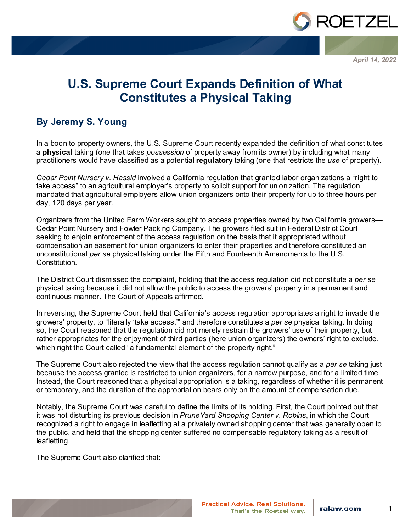

*April 14, 2022*

## **U.S. Supreme Court Expands Definition of What Constitutes a Physical Taking**

## **By Jeremy S. Young**

In a boon to property owners, the U.S. Supreme Court recently expanded the definition of what constitutes a **physical** taking (one that takes *possession* of property away from its owner) by including what many practitioners would have classified as a potential **regulatory** taking (one that restricts the *use* of property).

*Cedar Point Nursery v. Hassid* involved a California regulation that granted labor organizations a "right to take access" to an agricultural employer's property to solicit support for unionization. The regulation mandated that agricultural employers allow union organizers onto their property for up to three hours per day, 120 days per year.

Organizers from the United Farm Workers sought to access properties owned by two California growers— Cedar Point Nursery and Fowler Packing Company. The growers filed suit in Federal District Court seeking to enjoin enforcement of the access regulation on the basis that it appropriated without compensation an easement for union organizers to enter their properties and therefore constituted an unconstitutional *per se* physical taking under the Fifth and Fourteenth Amendments to the U.S. Constitution.

The District Court dismissed the complaint, holding that the access regulation did not constitute a *per se*  physical taking because it did not allow the public to access the growers' property in a permanent and continuous manner. The Court of Appeals affirmed.

In reversing, the Supreme Court held that California's access regulation appropriates a right to invade the growers' property, to "literally 'take access,'" and therefore constitutes a *per se* physical taking. In doing so, the Court reasoned that the regulation did not merely restrain the growers' use of their property, but rather appropriates for the enjoyment of third parties (here union organizers) the owners' right to exclude, which right the Court called "a fundamental element of the property right."

The Supreme Court also rejected the view that the access regulation cannot qualify as a *per se* taking just because the access granted is restricted to union organizers, for a narrow purpose, and for a limited time. Instead, the Court reasoned that a physical appropriation is a taking, regardless of whether it is permanent or temporary, and the duration of the appropriation bears only on the amount of compensation due.

Notably, the Supreme Court was careful to define the limits of its holding. First, the Court pointed out that it was not disturbing its previous decision in *PruneYard Shopping Center v. Robins*, in which the Court recognized a right to engage in leafletting at a privately owned shopping center that was generally open to the public, and held that the shopping center suffered no compensable regulatory taking as a result of leafletting.

The Supreme Court also clarified that: